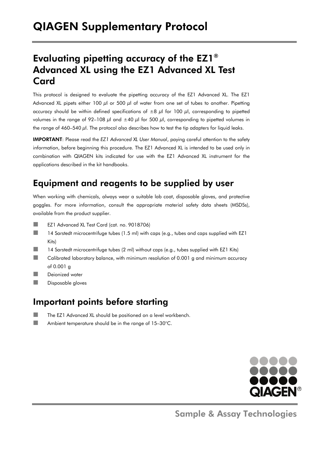## Evaluating pipetting accuracy of the EZ1® Advanced XL using the EZ1 Advanced XL Test Card

This protocol is designed to evaluate the pipetting accuracy of the EZ1 Advanced XL. The EZ1 Advanced XL pipets either 100  $\mu$ l or 500  $\mu$ l of water from one set of tubes to another. Pipetting accuracy should be within defined specifications of  $\pm 8$   $\mu$ l for 100  $\mu$ l, corresponding to pipetted volumes in the range of 92–108  $\mu$ l and  $\pm$ 40  $\mu$ l for 500  $\mu$ l, corresponding to pipetted volumes in the range of  $460-540 \mu l$ . The protocol also describes how to test the tip adapters for liquid leaks.

IMPORTANT: Please read the *EZ1 Advanced XL User Manual*, paying careful attention to the safety information, before beginning this procedure. The EZ1 Advanced XL is intended to be used only in combination with QIAGEN kits indicated for use with the EZ1 Advanced XL instrument for the applications described in the kit handbooks.

## Equipment and reagents to be supplied by user

When working with chemicals, always wear a suitable lab coat, disposable gloves, and protective goggles. For more information, consult the appropriate material safety data sheets (MSDSs), available from the product supplier.

- EZ1 Advanced XL Test Card (cat. no. 9018706)
- 14 Sarstedt microcentrifuge tubes (1.5 ml) with caps (e.g., tubes and caps supplied with EZ1 Kits)
- 14 Sarstedt microcentrifuge tubes (2 ml) without caps (e.g., tubes supplied with EZ1 Kits)
- $\Box$  Calibrated laboratory balance, with minimum resolution of 0.001 a and minimum accuracy of 0.001 g
- **Deionized water**
- **Disposable gloves**

### Important points before starting

- The EZ1 Advanced XL should be positioned on a level workbench.
- Ambient temperature should be in the range of 15–30°C.



Sample & Assay Technologies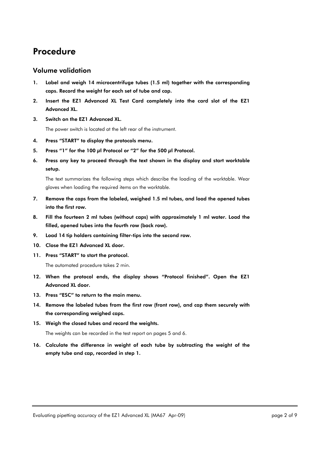### Procedure

#### Volume validation

- 1. Label and weigh 14 microcentrifuge tubes (1.5 ml) together with the corresponding caps. Record the weight for each set of tube and cap.
- 2. Insert the EZ1 Advanced XL Test Card completely into the card slot of the EZ1 Advanced XL.
- 3. Switch on the EZ1 Advanced XL.

The power switch is located at the left rear of the instrument.

- 4. Press "START" to display the protocols menu.
- 5. Press "1" for the 100 μl Protocol or "2" for the 500 μl Protocol.
- 6. Press any key to proceed through the text shown in the display and start worktable setup.

The text summarizes the following steps which describe the loading of the worktable. Wear gloves when loading the required items on the worktable.

- 7. Remove the caps from the labeled, weighed 1.5 ml tubes, and load the opened tubes into the first row.
- 8. Fill the fourteen 2 ml tubes (without caps) with approximately 1 ml water. Load the filled, opened tubes into the fourth row (back row).
- 9. Load 14 tip holders containing filter-tips into the second row.
- 10. Close the EZ1 Advanced XL door.
- 11. Press "START" to start the protocol.

The automated procedure takes 2 min.

- 12. When the protocol ends, the display shows "Protocol finished". Open the EZ1 Advanced XL door.
- 13. Press "ESC" to return to the main menu.
- 14. Remove the labeled tubes from the first row (front row), and cap them securely with the corresponding weighed caps.
- 15. Weigh the closed tubes and record the weights.

The weights can be recorded in the test report on pages 5 and 6.

16. Calculate the difference in weight of each tube by subtracting the weight of the empty tube and cap, recorded in step 1.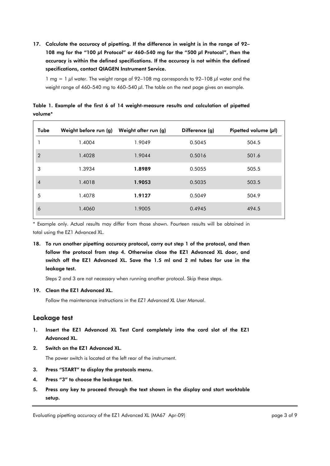17. Calculate the accuracy of pipetting. If the difference in weight is in the range of 92– 108 mg for the "100 μl Protocol" or 460–540 mg for the "500 μl Protocol", then the accuracy is within the defined specifications. If the accuracy is not within the defined specifications, contact QIAGEN Instrument Service.

1 mg = 1  $\mu$ l water. The weight range of 92–108 mg corresponds to 92–108  $\mu$ l water and the weight range of 460–540 mg to 460–540  $\mu$ l. The table on the next page gives an example.

Table 1. Example of the first 6 of 14 weight-measure results and calculation of pipetted volume\*

| Tube                     | Weight before run (g) | Weight after run (g) | Difference (g) | Pipetted volume $(\mu I)$ |
|--------------------------|-----------------------|----------------------|----------------|---------------------------|
|                          | 1.4004                | 1.9049               | 0.5045         | 504.5                     |
| $\overline{2}$           | 1.4028                | 1.9044               | 0.5016         | 501.6                     |
| 3                        | 1.3934                | 1.8989               | 0.5055         | 505.5                     |
| $\overline{\mathcal{A}}$ | 1.4018                | 1.9053               | 0.5035         | 503.5                     |
| 5                        | 1.4078                | 1.9127               | 0.5049         | 504.9                     |
| 6                        | 1.4060                | 1.9005               | 0.4945         | 494.5                     |

\* Example only. Actual results may differ from those shown. Fourteen results will be obtained in total using the EZ1 Advanced XL.

18. To run another pipetting accuracy protocol, carry out step 1 of the protocol, and then follow the protocol from step 4. Otherwise close the EZ1 Advanced XL door, and switch off the EZ1 Advanced XL. Save the 1.5 ml and 2 ml tubes for use in the leakage test.

Steps 2 and 3 are not necessary when running another protocol. Skip these steps.

#### 19. Clean the EZ1 Advanced XL.

Follow the maintenance instructions in the *EZ1 Advanced XL User Manual*.

#### Leakage test

- 1. Insert the EZ1 Advanced XL Test Card completely into the card slot of the EZ1 Advanced XL.
- 2. Switch on the EZ1 Advanced XL.

The power switch is located at the left rear of the instrument.

- 3. Press "START" to display the protocols menu.
- 4. Press "3" to choose the leakage test.
- 5. Press any key to proceed through the text shown in the display and start worktable setup.

Evaluating pipetting accuracy of the EZ1 Advanced XL (MA67 Apr-09) example the state of 9 page 3 of 9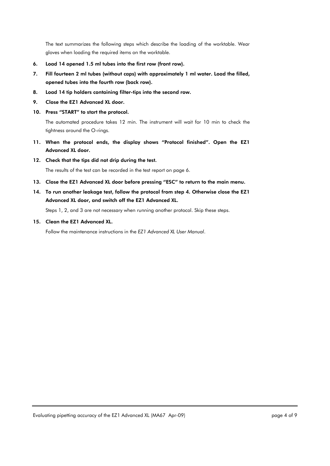The text summarizes the following steps which describe the loading of the worktable. Wear gloves when loading the required items on the worktable.

- 6. Load 14 opened 1.5 ml tubes into the first row (front row).
- 7. Fill fourteen 2 ml tubes (without caps) with approximately 1 ml water. Load the filled, opened tubes into the fourth row (back row).
- 8. Load 14 tip holders containing filter-tips into the second row.
- 9. Close the EZ1 Advanced XL door.
- 10. Press "START" to start the protocol.

The automated procedure takes 12 min. The instrument will wait for 10 min to check the tightness around the O-rings.

- 11. When the protocol ends, the display shows "Protocol finished". Open the EZ1 Advanced XL door.
- 12. Check that the tips did not drip during the test.

The results of the test can be recorded in the test report on page 6.

- 13. Close the EZ1 Advanced XL door before pressing "ESC" to return to the main menu.
- 14. To run another leakage test, follow the protocol from step 4. Otherwise close the EZ1 Advanced XL door, and switch off the EZ1 Advanced XL.

Steps 1, 2, and 3 are not necessary when running another protocol. Skip these steps.

15. Clean the EZ1 Advanced XL.

Follow the maintenance instructions in the *EZ1 Advanced XL User Manual*.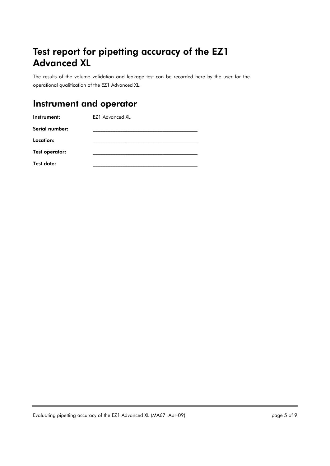# Test report for pipetting accuracy of the EZ1 Advanced XL

The results of the volume validation and leakage test can be recorded here by the user for the operational qualification of the EZ1 Advanced XL.

## Instrument and operator

| Instrument:    | <b>EZ1 Advanced XL</b> |
|----------------|------------------------|
| Serial number: |                        |
| Location:      |                        |
| Test operator: |                        |
| Test date:     |                        |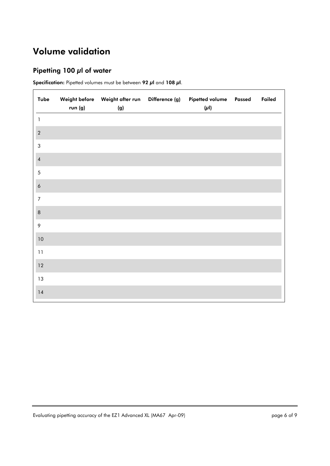# Volume validation

#### Pipetting 100 μl of water

Specification: Pipetted volumes must be between 92 μl and 108 μl.

| Tube                    | run (g) | Weight before    Veight after run    Difference (g)<br>(g) | Pipetted volume Passed<br>$(\mu I)$ | Failed |
|-------------------------|---------|------------------------------------------------------------|-------------------------------------|--------|
| $\mathbf{1}$            |         |                                                            |                                     |        |
| $\sqrt{2}$              |         |                                                            |                                     |        |
| $\sqrt{3}$              |         |                                                            |                                     |        |
| $\overline{\mathbf{4}}$ |         |                                                            |                                     |        |
| $\sqrt{5}$              |         |                                                            |                                     |        |
| $\acute{\rm{o}}$        |         |                                                            |                                     |        |
| $\overline{7}$          |         |                                                            |                                     |        |
| $\,$ 8 $\,$             |         |                                                            |                                     |        |
| 9                       |         |                                                            |                                     |        |
| $10$                    |         |                                                            |                                     |        |
| 11                      |         |                                                            |                                     |        |
| 12                      |         |                                                            |                                     |        |
| $13\,$                  |         |                                                            |                                     |        |
| 14                      |         |                                                            |                                     |        |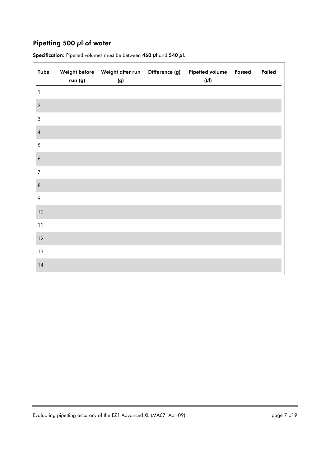#### Pipetting 500 μl of water

| Tube                    | run (g) | Weight before    Veight after run    Difference (g)<br>(g) | Pipetted volume Passed<br>$(\mu I)$ | Failed |
|-------------------------|---------|------------------------------------------------------------|-------------------------------------|--------|
| $\mathbf{1}$            |         |                                                            |                                     |        |
| $\sqrt{2}$              |         |                                                            |                                     |        |
| $\sqrt{3}$              |         |                                                            |                                     |        |
| $\overline{\mathbf{4}}$ |         |                                                            |                                     |        |
| $\mathfrak s$           |         |                                                            |                                     |        |
| $\acute{\rm{o}}$        |         |                                                            |                                     |        |
| $\overline{7}$          |         |                                                            |                                     |        |
| $\, 8$                  |         |                                                            |                                     |        |
| $\,9$                   |         |                                                            |                                     |        |
| $10\,$                  |         |                                                            |                                     |        |
| $11$                    |         |                                                            |                                     |        |
| $12\,$                  |         |                                                            |                                     |        |
| $13\,$                  |         |                                                            |                                     |        |
| 14                      |         |                                                            |                                     |        |

Specification: Pipetted volumes must be between 460 μl and 540 μl.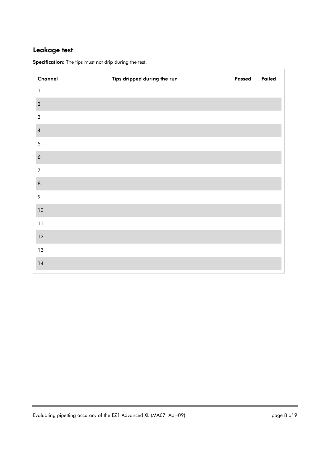### Leakage test

ř.

| Channel          | Tips dripped during the run | Passed | Failed |
|------------------|-----------------------------|--------|--------|
| 1                |                             |        |        |
| $\sqrt{2}$       |                             |        |        |
| $\sqrt{3}$       |                             |        |        |
| $\pmb{4}$        |                             |        |        |
| $\sqrt{5}$       |                             |        |        |
| $\boldsymbol{6}$ |                             |        |        |
| $\boldsymbol{7}$ |                             |        |        |
| $\,$ 8 $\,$      |                             |        |        |
| 9                |                             |        |        |
| $10\,$           |                             |        |        |
| $11$             |                             |        |        |
| 12               |                             |        |        |
| 13               |                             |        |        |
| $14$             |                             |        |        |

Specification: The tips must not drip during the test.